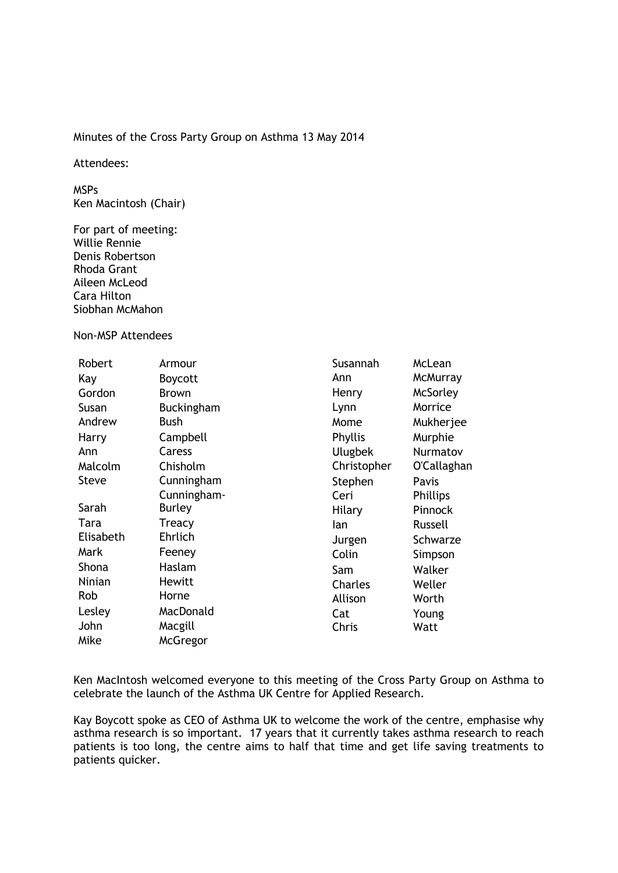## Minutes of the Cross Party Group on Asthma 13 May 2014

Attendees:

MSPs Ken Macintosh (Chair)

For part of meeting: Willie Rennie Denis Robertson Rhoda Grant Aileen McLeod Cara Hilton Siobhan McMahon

Non-MSP Attendees

| Robert       | Armour            | Susannah       | McLean          |
|--------------|-------------------|----------------|-----------------|
| Kay          | <b>Boycott</b>    | Ann            | <b>McMurray</b> |
| Gordon       | <b>Brown</b>      | Henry          | McSorley        |
| Susan        | <b>Buckingham</b> | Lynn           | Morrice         |
| Andrew       | Bush              | Mome           | Mukherjee       |
| Harry        | Campbell          | Phyllis        | Murphie         |
| Ann          | Caress            | <b>Ulugbek</b> | Nurmatov        |
| Malcolm      | Chisholm          | Christopher    | O'Callaghan     |
| <b>Steve</b> | Cunningham        | Stephen        | Pavis           |
|              | Cunningham-       | Ceri           | <b>Phillips</b> |
| Sarah        | <b>Burley</b>     | Hilary         | Pinnock         |
| Tara         | Treacy            | lan            | Russell         |
| Elisabeth    | Ehrlich           | Jurgen         | Schwarze        |
| Mark         | Feeney            | Colin          | Simpson         |
| Shona        | Haslam            | Sam            | Walker          |
| Ninian       | Hewitt            | Charles        | Weller          |
| Rob          | Horne             | Allison        | Worth           |
| Lesley       | MacDonald         | Cat            | Young           |
| John         | Macgill           | Chris          | Watt            |
| Mike         | <b>McGregor</b>   |                |                 |

Ken MacIntosh welcomed everyone to this meeting of the Cross Party Group on Asthma to celebrate the launch of the Asthma UK Centre for Applied Research.

Kay Boycott spoke as CEO of Asthma UK to welcome the work of the centre, emphasise why asthma research is so important. 17 years that it currently takes asthma research to reach patients is too long, the centre aims to half that time and get life saving treatments to patients quicker.